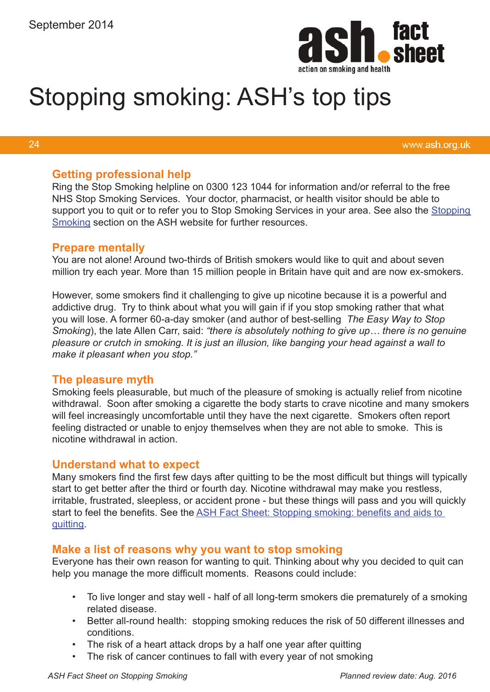

# Stopping smoking: ASH's top tips

#### 24

www.ash.org.uk

#### **Getting professional help**

Ring the Stop Smoking helpline on 0300 123 1044 for information and/or referral to the free NHS Stop Smoking Services. Your doctor, pharmacist, or health visitor should be able to support you to quit or to refer you to Stop Smoking Services in your area. See also the Stopping [Smoking](http://www.ash.org.uk/stopping-smoking/quitting-smoking) section on the ASH website for further resources.

#### **Prepare mentally**

You are not alone! Around two-thirds of British smokers would like to quit and about seven million try each year. More than 15 million people in Britain have quit and are now ex-smokers.

However, some smokers find it challenging to give up nicotine because it is a powerful and addictive drug. Try to think about what you will gain if if you stop smoking rather that what you will lose. A former 60-a-day smoker (and author of best-selling *The Easy Way to Stop Smoking*), the late Allen Carr, said: *"there is absolutely nothing to give up… there is no genuine pleasure or crutch in smoking. It is just an illusion, like banging your head against a wall to make it pleasant when you stop."*

# **The pleasure myth**

Smoking feels pleasurable, but much of the pleasure of smoking is actually relief from nicotine withdrawal. Soon after smoking a cigarette the body starts to crave nicotine and many smokers will feel increasingly uncomfortable until they have the next cigarette. Smokers often report feeling distracted or unable to enjoy themselves when they are not able to smoke. This is nicotine withdrawal in action.

# **Understand what to expect**

Many smokers find the first few days after quitting to be the most difficult but things will typically start to get better after the third or fourth day. Nicotine withdrawal may make you restless, irritable, frustrated, sleepless, or accident prone - but these things will pass and you will quickly start to feel the benefits. See the ASH Fact Sheet: Stopping smoking: benefits and aids to [quitting](http://www.ash.org.uk/download/stopping-smoking-the-benefits-and-aids-to-quitting/).

# **Make a list of reasons why you want to stop smoking**

Everyone has their own reason for wanting to quit. Thinking about why you decided to quit can help you manage the more difficult moments. Reasons could include:

- To live longer and stay well half of all long-term smokers die prematurely of a smoking related disease.
- Better all-round health: stopping smoking reduces the risk of 50 different illnesses and conditions.
- The risk of a heart attack drops by a half one year after quitting
- The risk of cancer continues to fall with every year of not smoking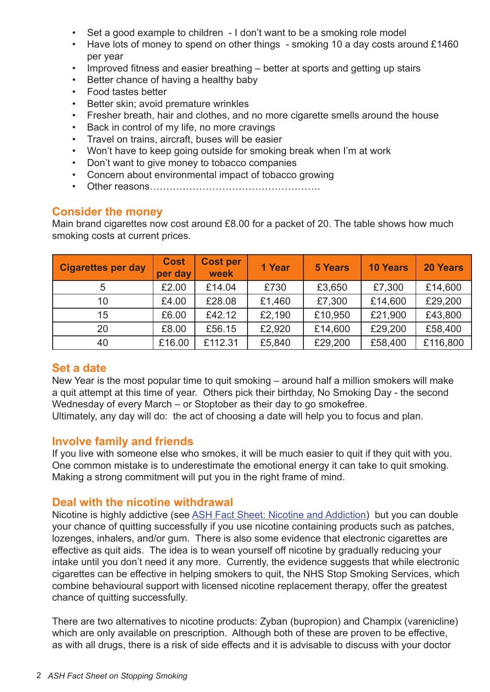- Set a good example to children I don't want to be a smoking role model
- Have lots of money to spend on other things smoking 10 a day costs around £1460 per year
- Improved fitness and easier breathing better at sports and getting up stairs
- Better chance of having a healthy baby
- Food tastes better
- Better skin; avoid premature wrinkles
- Fresher breath, hair and clothes, and no more cigarette smells around the house
- Back in control of my life, no more cravings
- Travel on trains, aircraft, buses will be easier
- Won't have to keep going outside for smoking break when I'm at work
- Don't want to give money to tobacco companies
- Concern about environmental impact of tobacco growing
- Other reasons…………………………………………….

# **Consider the money**

Main brand cigarettes now cost around £8.00 for a packet of 20. The table shows how much smoking costs at current prices.

| <b>Cigarettes per day</b> | <b>Cost</b><br>per day | <b>Cost per</b><br>week | 1 Year | <b>5 Years</b> | <b>10 Years</b> | <b>20 Years</b> |
|---------------------------|------------------------|-------------------------|--------|----------------|-----------------|-----------------|
| 5                         | £2.00                  | £14.04                  | £730   | £3,650         | £7,300          | £14,600         |
| 10                        | £4.00                  | £28.08                  | £1,460 | £7,300         | £14,600         | £29,200         |
| 15                        | £6.00                  | £42.12                  | £2,190 | £10,950        | £21,900         | £43,800         |
| 20                        | £8.00                  | £56.15                  | £2,920 | £14,600        | £29,200         | £58,400         |
| 40                        | £16.00                 | £112.31                 | £5,840 | £29,200        | £58,400         | £116,800        |

# **Set a date**

New Year is the most popular time to quit smoking – around half a million smokers will make a quit attempt at this time of year. Others pick their birthday, No Smoking Day - the second Wednesday of every March – or Stoptober as their day to go smokefree.

Ultimately, any day will do: the act of choosing a date will help you to focus and plan.

# **Involve family and friends**

If you live with someone else who smokes, it will be much easier to quit if they quit with you. One common mistake is to underestimate the emotional energy it can take to quit smoking. Making a strong commitment will put you in the right frame of mind.

# **Deal with the nicotine withdrawal**

Nicotine is highly addictive (see [ASH Fact Sheet: Nicotine and Addiction\)](http://www.ash.org.uk/files/documents/ASH_114.pdf) but you can double your chance of quitting successfully if you use nicotine containing products such as patches, lozenges, inhalers, and/or gum. There is also some evidence that electronic cigarettes are effective as quit aids. The idea is to wean yourself off nicotine by gradually reducing your intake until you don't need it any more. Currently, the evidence suggests that while electronic cigarettes can be effective in helping smokers to quit, the NHS Stop Smoking Services, which combine behavioural support with licensed nicotine replacement therapy, offer the greatest chance of quitting successfully.

There are two alternatives to nicotine products: Zyban (bupropion) and Champix (varenicline) which are only available on prescription. Although both of these are proven to be effective, as with all drugs, there is a risk of side effects and it is advisable to discuss with your doctor